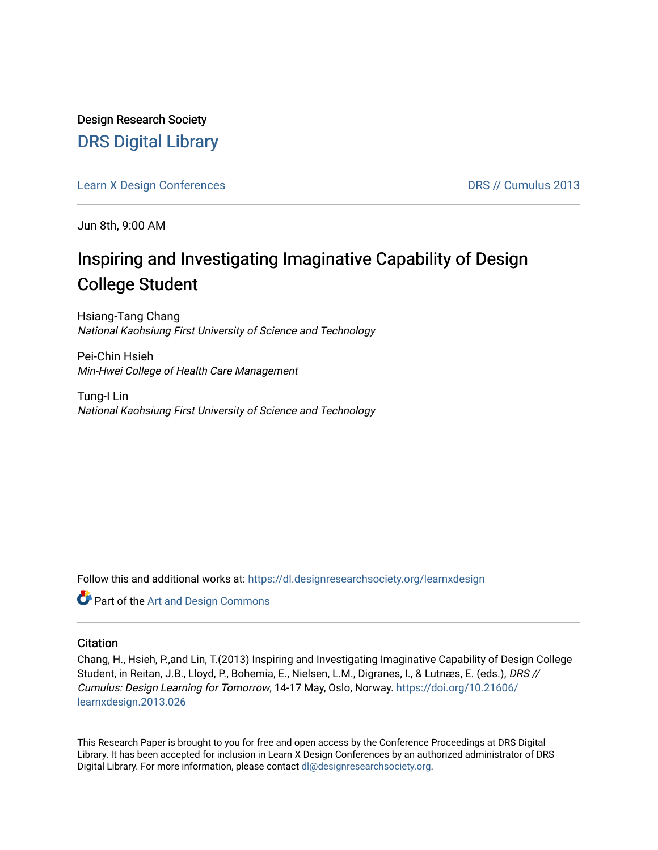Design Research Society [DRS Digital Library](https://dl.designresearchsociety.org/)

[Learn X Design Conferences](https://dl.designresearchsociety.org/learnxdesign) **DRS // Cumulus 2013** 

Jun 8th, 9:00 AM

# Inspiring and Investigating Imaginative Capability of Design College Student

Hsiang-Tang Chang National Kaohsiung First University of Science and Technology

Pei-Chin Hsieh Min-Hwei College of Health Care Management

Tung-I Lin National Kaohsiung First University of Science and Technology

Follow this and additional works at: [https://dl.designresearchsociety.org/learnxdesign](https://dl.designresearchsociety.org/learnxdesign?utm_source=dl.designresearchsociety.org%2Flearnxdesign%2Flearnxdesign2013%2Fresearchpapers%2F26&utm_medium=PDF&utm_campaign=PDFCoverPages)

Part of the [Art and Design Commons](http://network.bepress.com/hgg/discipline/1049?utm_source=dl.designresearchsociety.org%2Flearnxdesign%2Flearnxdesign2013%2Fresearchpapers%2F26&utm_medium=PDF&utm_campaign=PDFCoverPages)

## **Citation**

Chang, H., Hsieh, P.,and Lin, T.(2013) Inspiring and Investigating Imaginative Capability of Design College Student, in Reitan, J.B., Lloyd, P., Bohemia, E., Nielsen, L.M., Digranes, I., & Lutnæs, E. (eds.), DRS // Cumulus: Design Learning for Tomorrow, 14-17 May, Oslo, Norway. [https://doi.org/10.21606/](https://doi.org/10.21606/learnxdesign.2013.026) [learnxdesign.2013.026](https://doi.org/10.21606/learnxdesign.2013.026)

This Research Paper is brought to you for free and open access by the Conference Proceedings at DRS Digital Library. It has been accepted for inclusion in Learn X Design Conferences by an authorized administrator of DRS Digital Library. For more information, please contact [dl@designresearchsociety.org](mailto:dl@designresearchsociety.org).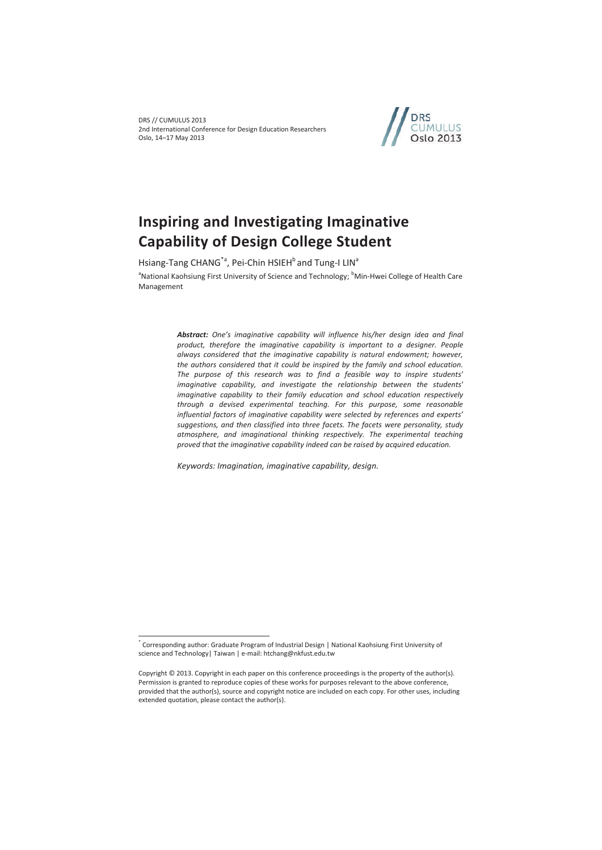

# **Inspiring and Investigating Imaginative Capability of Design College Student**

Hsiang-Tang CHANG<sup>\*a</sup>, Pei-Chin HSIEH<sup>b</sup> and Tung-I LIN<sup>a</sup>

<sup>a</sup>National Kaohsiung First University of Science and Technology; <sup>b</sup>Min-Hwei College of Health Care Management

> *Abstract: One's imaginative capability will influence his/her design idea and final product, therefore the imaginative capability is important to a designer. People always considered that the imaginative capability is natural endowment; however, the authors considered that it could be inspired by the family and school education. The purpose of this research was to find a feasible way to inspire students' imaginative capability, and investigate the relationship between the students' imaginative capability to their family education and school education respectively through a devised experimental teaching. For this purpose, some reasonable influential factors of imaginative capability were selected by references and experts' suggestions, and then classified into three facets. The facets were personality, study atmosphere, and imaginational thinking respectively. The experimental teaching proved that the imaginative capability indeed can be raised by acquired education.*

*Keywords: Imagination, imaginative capability, design.* 

 $\overline{a}$ 

<sup>\*</sup> Corresponding author: Graduate Program of Industrial Design | National Kaohsiung First University of science and Technology | Taiwan | e-mail: htchang@nkfust.edu.tw

Copyright © 2013. Copyright in each paper on this conference proceedings is the property of the author(s). Permission is granted to reproduce copies of these works for purposes relevant to the above conference, provided that the author(s), source and copyright notice are included on each copy. For other uses, including extended quotation, please contact the author(s).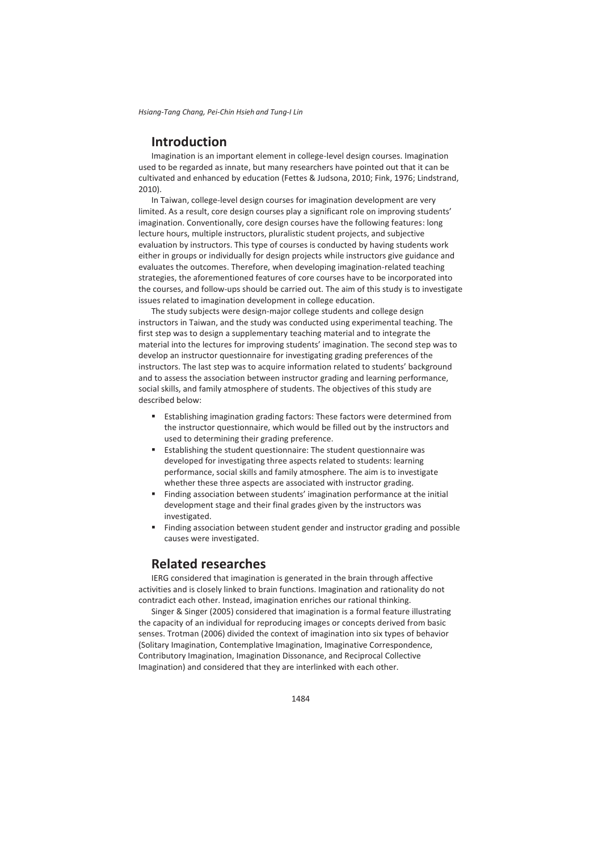*Hsiang-Tang Chang, Pei-Chin Hsieh and Tung-I Lin*

# **Introduction**

Imagination is an important element in college-level design courses. Imagination used to be regarded as innate, but many researchers have pointed out that it can be cultivated and enhanced by education (Fettes & Judsona, 2010; Fink, 1976; Lindstrand, 2010).

In Taiwan, college-level design courses for imagination development are very limited. As a result, core design courses play a significant role on improving students' imagination. Conventionally, core design courses have the following features: long lecture hours, multiple instructors, pluralistic student projects, and subjective evaluation by instructors. This type of courses is conducted by having students work either in groups or individually for design projects while instructors give guidance and evaluates the outcomes. Therefore, when developing imagination-related teaching strategies, the aforementioned features of core courses have to be incorporated into the courses, and follow-ups should be carried out. The aim of this study is to investigate issues related to imagination development in college education.

The study subjects were design-major college students and college design instructors in Taiwan, and the study was conducted using experimental teaching. The first step was to design a supplementary teaching material and to integrate the material into the lectures for improving students' imagination. The second step was to develop an instructor questionnaire for investigating grading preferences of the instructors. The last step was to acquire information related to students' background and to assess the association between instructor grading and learning performance, social skills, and family atmosphere of students. The objectives of this study are described below:

- Establishing imagination grading factors: These factors were determined from the instructor questionnaire, which would be filled out by the instructors and used to determining their grading preference.
- Establishing the student questionnaire: The student questionnaire was developed for investigating three aspects related to students: learning performance, social skills and family atmosphere. The aim is to investigate whether these three aspects are associated with instructor grading.
- Finding association between students' imagination performance at the initial development stage and their final grades given by the instructors was investigated.
- Finding association between student gender and instructor grading and possible causes were investigated.

# **Related researches**

IERG considered that imagination is generated in the brain through affective activities and is closely linked to brain functions. Imagination and rationality do not contradict each other. Instead, imagination enriches our rational thinking.

Singer & Singer (2005) considered that imagination is a formal feature illustrating the capacity of an individual for reproducing images or concepts derived from basic senses. Trotman (2006) divided the context of imagination into six types of behavior (Solitary Imagination, Contemplative Imagination, Imaginative Correspondence, Contributory Imagination, Imagination Dissonance, and Reciprocal Collective Imagination) and considered that they are interlinked with each other.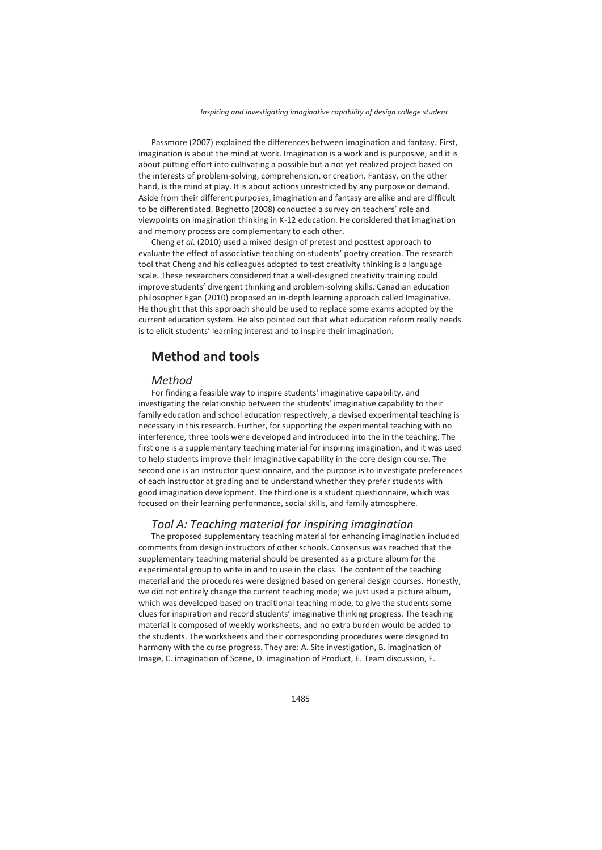Passmore (2007) explained the differences between imagination and fantasy. First, imagination is about the mind at work. Imagination is a work and is purposive, and it is about putting effort into cultivating a possible but a not yet realized project based on the interests of problem-solving, comprehension, or creation. Fantasy, on the other hand, is the mind at play. It is about actions unrestricted by any purpose or demand. Aside from their different purposes, imagination and fantasy are alike and are difficult to be differentiated. Beghetto (2008) conducted a survey on teachers' role and viewpoints on imagination thinking in K-12 education. He considered that imagination and memory process are complementary to each other.

Cheng *et al*. (2010) used a mixed design of pretest and posttest approach to evaluate the effect of associative teaching on students' poetry creation. The research tool that Cheng and his colleagues adopted to test creativity thinking is a language scale. These researchers considered that a well-designed creativity training could improve students' divergent thinking and problem-solving skills. Canadian education philosopher Egan (2010) proposed an in-depth learning approach called Imaginative. He thought that this approach should be used to replace some exams adopted by the current education system. He also pointed out that what education reform really needs is to elicit students' learning interest and to inspire their imagination.

# **Method and tools**

#### *Method*

For finding a feasible way to inspire students' imaginative capability, and investigating the relationship between the students' imaginative capability to their family education and school education respectively, a devised experimental teaching is necessary in this research. Further, for supporting the experimental teaching with no interference, three tools were developed and introduced into the in the teaching. The first one is a supplementary teaching material for inspiring imagination, and it was used to help students improve their imaginative capability in the core design course. The second one is an instructor questionnaire, and the purpose is to investigate preferences of each instructor at grading and to understand whether they prefer students with good imagination development. The third one is a student questionnaire, which was focused on their learning performance, social skills, and family atmosphere.

### *Tool A: Teaching material for inspiring imagination*

The proposed supplementary teaching material for enhancing imagination included comments from design instructors of other schools. Consensus was reached that the supplementary teaching material should be presented as a picture album for the experimental group to write in and to use in the class. The content of the teaching material and the procedures were designed based on general design courses. Honestly, we did not entirely change the current teaching mode; we just used a picture album, which was developed based on traditional teaching mode, to give the students some clues for inspiration and record students' imaginative thinking progress. The teaching material is composed of weekly worksheets, and no extra burden would be added to the students. The worksheets and their corresponding procedures were designed to harmony with the curse progress. They are: A. Site investigation, B. imagination of Image, C. imagination of Scene, D. imagination of Product, E. Team discussion, F.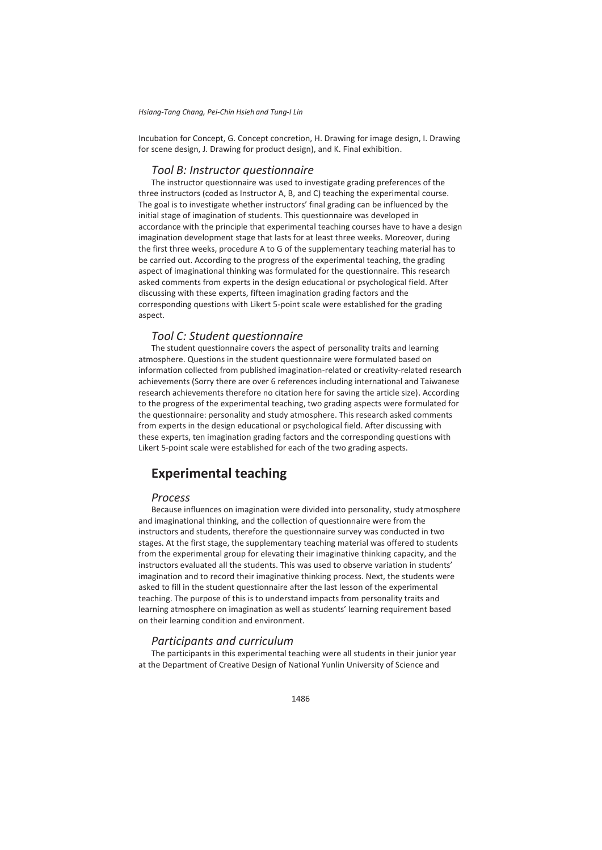Incubation for Concept, G. Concept concretion, H. Drawing for image design, I. Drawing for scene design, J. Drawing for product design), and K. Final exhibition.

### *Tool B: Instructor questionnaire*

The instructor questionnaire was used to investigate grading preferences of the three instructors (coded as Instructor A, B, and C) teaching the experimental course. The goal is to investigate whether instructors' final grading can be influenced by the initial stage of imagination of students. This questionnaire was developed in accordance with the principle that experimental teaching courses have to have a design imagination development stage that lasts for at least three weeks. Moreover, during the first three weeks, procedure A to G of the supplementary teaching material has to be carried out. According to the progress of the experimental teaching, the grading aspect of imaginational thinking was formulated for the questionnaire. This research asked comments from experts in the design educational or psychological field. After discussing with these experts, fifteen imagination grading factors and the corresponding questions with Likert 5-point scale were established for the grading aspect.

## *Tool C: Student questionnaire*

The student questionnaire covers the aspect of personality traits and learning atmosphere. Questions in the student questionnaire were formulated based on information collected from published imagination-related or creativity-related research achievements (Sorry there are over 6 references including international and Taiwanese research achievements therefore no citation here for saving the article size). According to the progress of the experimental teaching, two grading aspects were formulated for the questionnaire: personality and study atmosphere. This research asked comments from experts in the design educational or psychological field. After discussing with these experts, ten imagination grading factors and the corresponding questions with Likert 5-point scale were established for each of the two grading aspects.

# **Experimental teaching**

### *Process*

Because influences on imagination were divided into personality, study atmosphere and imaginational thinking, and the collection of questionnaire were from the instructors and students, therefore the questionnaire survey was conducted in two stages. At the first stage, the supplementary teaching material was offered to students from the experimental group for elevating their imaginative thinking capacity, and the instructors evaluated all the students. This was used to observe variation in students' imagination and to record their imaginative thinking process. Next, the students were asked to fill in the student questionnaire after the last lesson of the experimental teaching. The purpose of this is to understand impacts from personality traits and learning atmosphere on imagination as well as students' learning requirement based on their learning condition and environment.

## *Participants and curriculum*

The participants in this experimental teaching were all students in their junior year at the Department of Creative Design of National Yunlin University of Science and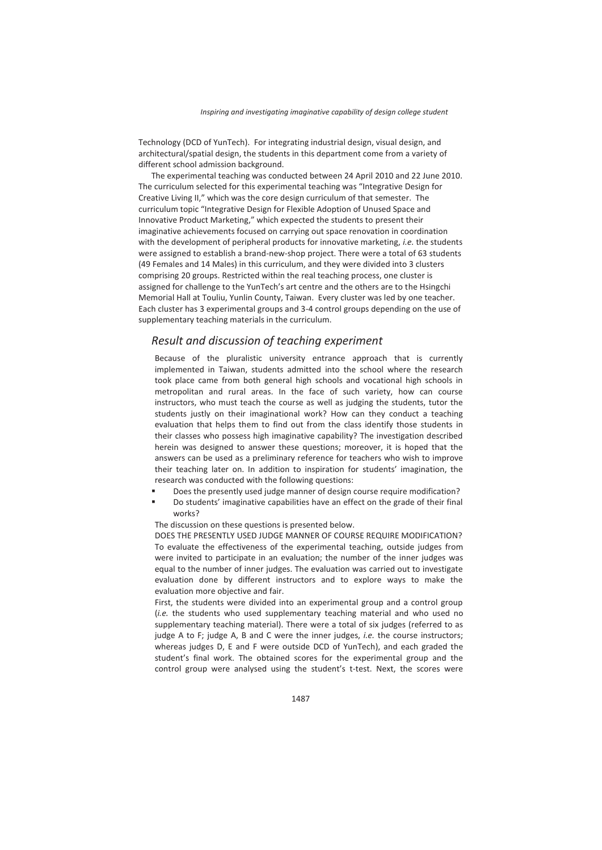Technology (DCD of YunTech). For integrating industrial design, visual design, and architectural/spatial design, the students in this department come from a variety of different school admission background.

The experimental teaching was conducted between 24 April 2010 and 22 June 2010. The curriculum selected for this experimental teaching was "Integrative Design for Creative Living II," which was the core design curriculum of that semester. The curriculum topic "Integrative Design for Flexible Adoption of Unused Space and Innovative Product Marketing," which expected the students to present their imaginative achievements focused on carrying out space renovation in coordination with the development of peripheral products for innovative marketing, *i.e.* the students were assigned to establish a brand-new-shop project. There were a total of 63 students (49 Females and 14 Males) in this curriculum, and they were divided into 3 clusters comprising 20 groups. Restricted within the real teaching process, one cluster is assigned for challenge to the YunTech's art centre and the others are to the Hsingchi Memorial Hall at Touliu, Yunlin County, Taiwan. Every cluster was led by one teacher. Each cluster has 3 experimental groups and 3-4 control groups depending on the use of supplementary teaching materials in the curriculum.

# *Result and discussion of teaching experiment*

Because of the pluralistic university entrance approach that is currently implemented in Taiwan, students admitted into the school where the research took place came from both general high schools and vocational high schools in metropolitan and rural areas. In the face of such variety, how can course instructors, who must teach the course as well as judging the students, tutor the students justly on their imaginational work? How can they conduct a teaching evaluation that helps them to find out from the class identify those students in their classes who possess high imaginative capability? The investigation described herein was designed to answer these questions; moreover, it is hoped that the answers can be used as a preliminary reference for teachers who wish to improve their teaching later on. In addition to inspiration for students' imagination, the research was conducted with the following questions:

- Does the presently used judge manner of design course require modification?
- Do students' imaginative capabilities have an effect on the grade of their final works?

The discussion on these questions is presented below.

DOES THE PRESENTLY USED JUDGE MANNER OF COURSE REQUIRE MODIFICATION? To evaluate the effectiveness of the experimental teaching, outside judges from were invited to participate in an evaluation; the number of the inner judges was equal to the number of inner judges. The evaluation was carried out to investigate evaluation done by different instructors and to explore ways to make the evaluation more objective and fair.

First, the students were divided into an experimental group and a control group (*i.e.* the students who used supplementary teaching material and who used no supplementary teaching material). There were a total of six judges (referred to as judge A to F; judge A, B and C were the inner judges, *i.e.* the course instructors; whereas judges D, E and F were outside DCD of YunTech), and each graded the student's final work. The obtained scores for the experimental group and the control group were analysed using the student's t-test. Next, the scores were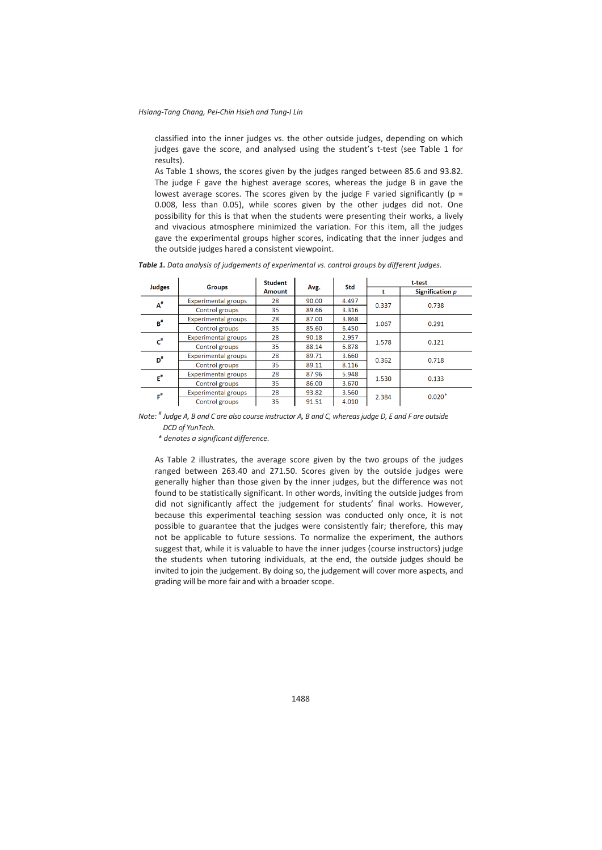classified into the inner judges vs. the other outside judges, depending on which judges gave the score, and analysed using the student's t-test (see Table 1 for results).

As Table 1 shows, the scores given by the judges ranged between 85.6 and 93.82. The judge F gave the highest average scores, whereas the judge B in gave the lowest average scores. The scores given by the judge F varied significantly ( $p =$ 0.008, less than 0.05), while scores given by the other judges did not. One possibility for this is that when the students were presenting their works, a lively and vivacious atmosphere minimized the variation. For this item, all the judges gave the experimental groups higher scores, indicating that the inner judges and the outside judges hared a consistent viewpoint.

|                             |                            | <b>Student</b> |       | Std   | t-test |                 |  |  |
|-----------------------------|----------------------------|----------------|-------|-------|--------|-----------------|--|--|
| Judges                      | <b>Groups</b>              | <b>Amount</b>  | Avg.  |       |        | Signification p |  |  |
| $A^{\#}$                    | <b>Experimental groups</b> | 28             | 90.00 | 4.497 | 0.337  | 0.738           |  |  |
|                             | Control groups             | 35             | 89.66 | 3.316 |        |                 |  |  |
| $B^{\#}$                    | <b>Experimental groups</b> | 28             | 87.00 | 3.868 | 1.067  | 0.291           |  |  |
|                             | Control groups             | 35             | 85.60 | 6.450 |        |                 |  |  |
| $\mathbf{c}^*$              | <b>Experimental groups</b> | 28             | 90.18 | 2.957 | 1.578  | 0.121           |  |  |
|                             | Control groups             | 35             | 88.14 | 6.878 |        |                 |  |  |
| $\mathbf{D}^{\text{\tt\#}}$ | <b>Experimental groups</b> | 28             | 89.71 | 3.660 | 0.362  | 0.718           |  |  |
|                             | Control groups             | 35             | 89.11 | 8.116 |        |                 |  |  |
| $E^{\#}$                    | <b>Experimental groups</b> | 28             | 87.96 | 5.948 | 1.530  | 0.133           |  |  |
|                             | Control groups             | 35             | 86.00 | 3.670 |        |                 |  |  |
| $\mathbf{r}^*$              | <b>Experimental groups</b> | 28             | 93.82 | 3.560 | 2.384  | $0.020*$        |  |  |
|                             | Control groups             | 35             | 91.51 | 4.010 |        |                 |  |  |

*Table 1. Data analysis of judgements of experimental vs. control groups by different judges.* 

*Note: # Judge A, B and C are also course instructor A, B and C, whereas judge D, E and F are outside DCD of YunTech.* 

*\* denotes a significant difference.* 

As Table 2 illustrates, the average score given by the two groups of the judges ranged between 263.40 and 271.50. Scores given by the outside judges were generally higher than those given by the inner judges, but the difference was not found to be statistically significant. In other words, inviting the outside judges from did not significantly affect the judgement for students' final works. However, because this experimental teaching session was conducted only once, it is not possible to guarantee that the judges were consistently fair; therefore, this may not be applicable to future sessions. To normalize the experiment, the authors suggest that, while it is valuable to have the inner judges (course instructors) judge the students when tutoring individuals, at the end, the outside judges should be invited to join the judgement. By doing so, the judgement will cover more aspects, and grading will be more fair and with a broader scope.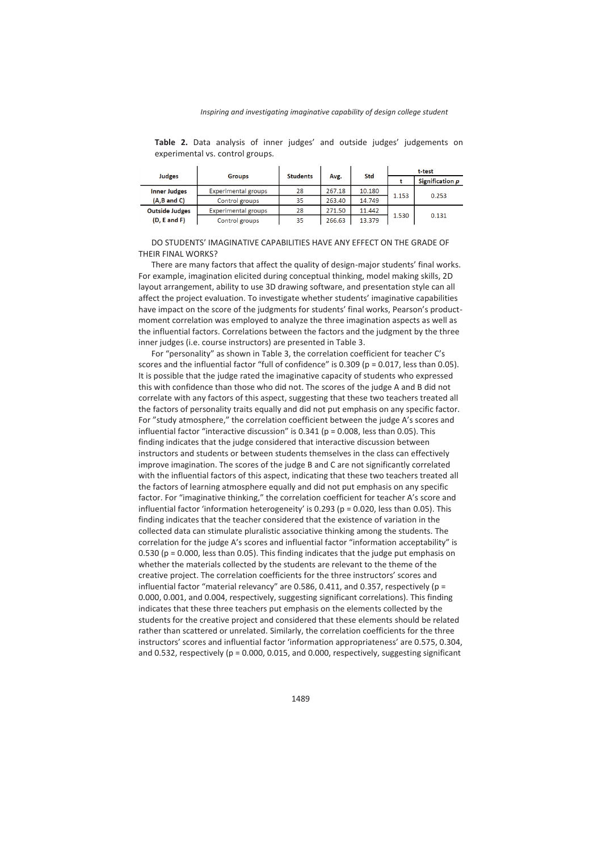**Table 2.** Data analysis of inner judges' and outside judges' judgements on experimental vs. control groups.

|                       |                     | <b>Students</b> |        |        | t-test |                 |  |  |
|-----------------------|---------------------|-----------------|--------|--------|--------|-----------------|--|--|
| <b>Judges</b>         | <b>Groups</b>       |                 | Avg.   | Std    |        | Signification p |  |  |
| <b>Inner Judges</b>   | Experimental groups | 28              | 267.18 | 10.180 | 1.153  | 0.253           |  |  |
| $(A,B$ and $C)$       | Control groups      | 35              | 263.40 | 14.749 |        |                 |  |  |
| <b>Outside Judges</b> | Experimental groups | 28              | 271.50 | 11.442 |        |                 |  |  |
| (D, E and F)          | Control groups      | 35              | 266.63 | 13.379 | 1.530  | 0.131           |  |  |

#### DO STUDENTS' IMAGINATIVE CAPABILITIES HAVE ANY EFFECT ON THE GRADE OF THEIR FINAL WORKS?

There are many factors that affect the quality of design-major students' final works. For example, imagination elicited during conceptual thinking, model making skills, 2D layout arrangement, ability to use 3D drawing software, and presentation style can all affect the project evaluation. To investigate whether students' imaginative capabilities have impact on the score of the judgments for students' final works, Pearson's productmoment correlation was employed to analyze the three imagination aspects as well as the influential factors. Correlations between the factors and the judgment by the three inner judges (i.e. course instructors) are presented in Table 3.

For "personality" as shown in Table 3, the correlation coefficient for teacher C's scores and the influential factor "full of confidence" is 0.309 (p = 0.017, less than 0.05). It is possible that the judge rated the imaginative capacity of students who expressed this with confidence than those who did not. The scores of the judge A and B did not correlate with any factors of this aspect, suggesting that these two teachers treated all the factors of personality traits equally and did not put emphasis on any specific factor. For "study atmosphere," the correlation coefficient between the judge A's scores and influential factor "interactive discussion" is  $0.341$  ( $p = 0.008$ , less than  $0.05$ ). This finding indicates that the judge considered that interactive discussion between instructors and students or between students themselves in the class can effectively improve imagination. The scores of the judge B and C are not significantly correlated with the influential factors of this aspect, indicating that these two teachers treated all the factors of learning atmosphere equally and did not put emphasis on any specific factor. For "imaginative thinking," the correlation coefficient for teacher A's score and influential factor 'information heterogeneity' is  $0.293$  (p = 0.020, less than 0.05). This finding indicates that the teacher considered that the existence of variation in the collected data can stimulate pluralistic associative thinking among the students. The correlation for the judge A's scores and influential factor "information acceptability" is 0.530 ( $p = 0.000$ , less than 0.05). This finding indicates that the judge put emphasis on whether the materials collected by the students are relevant to the theme of the creative project. The correlation coefficients for the three instructors' scores and influential factor "material relevancy" are 0.586, 0.411, and 0.357, respectively ( $p =$ 0.000, 0.001, and 0.004, respectively, suggesting significant correlations). This finding indicates that these three teachers put emphasis on the elements collected by the students for the creative project and considered that these elements should be related rather than scattered or unrelated. Similarly, the correlation coefficients for the three instructors' scores and influential factor 'information appropriateness' are 0.575, 0.304, and 0.532, respectively ( $p = 0.000$ , 0.015, and 0.000, respectively, suggesting significant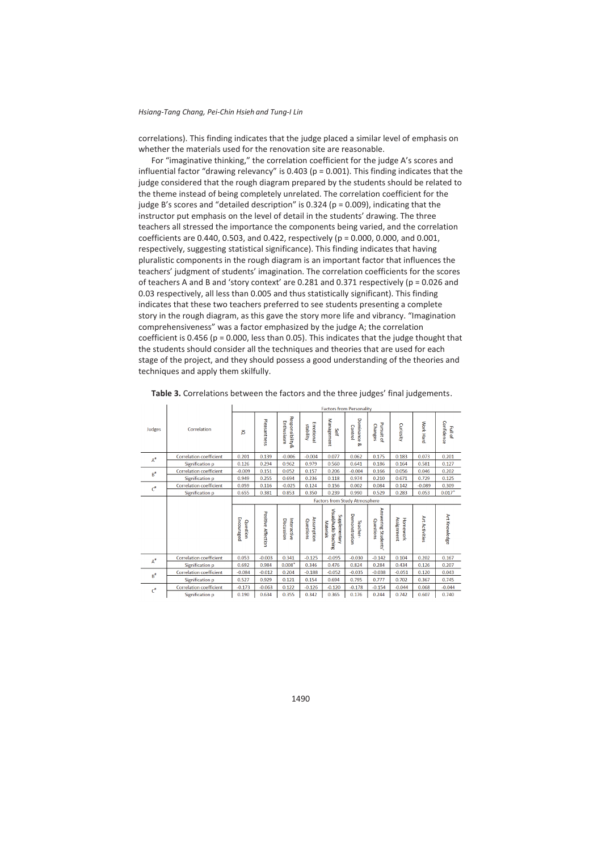$\mathbf{r}$ 

 $\mathbf{I}$ 

correlations). This finding indicates that the judge placed a similar level of emphasis on whether the materials used for the renovation site are reasonable.

For "imaginative thinking," the correlation coefficient for the judge A's scores and influential factor "drawing relevancy" is 0.403 ( $p = 0.001$ ). This finding indicates that the judge considered that the rough diagram prepared by the students should be related to the theme instead of being completely unrelated. The correlation coefficient for the judge B's scores and "detailed description" is  $0.324$  (p = 0.009), indicating that the instructor put emphasis on the level of detail in the students' drawing. The three teachers all stressed the importance the components being varied, and the correlation coefficients are 0.440, 0.503, and 0.422, respectively (p = 0.000, 0.000, and 0.001, respectively, suggesting statistical significance). This finding indicates that having pluralistic components in the rough diagram is an important factor that influences the teachers' judgment of students' imagination. The correlation coefficients for the scores of teachers A and B and 'story context' are 0.281 and 0.371 respectively ( $p = 0.026$  and 0.03 respectively, all less than 0.005 and thus statistically significant). This finding indicates that these two teachers preferred to see students presenting a complete story in the rough diagram, as this gave the story more life and vibrancy. "Imagination comprehensiveness" was a factor emphasized by the judge A; the correlation coefficient is 0.456 ( $p = 0.000$ , less than 0.05). This indicates that the judge thought that the students should consider all the techniques and theories that are used for each stage of the project, and they should possess a good understanding of the theories and techniques and apply them skilfully.

|                                |                                | <b>Factors from Personality</b>      |                              |                                          |                         |                                                     |                                 |                                  |                        |                       |                       |  |  |
|--------------------------------|--------------------------------|--------------------------------------|------------------------------|------------------------------------------|-------------------------|-----------------------------------------------------|---------------------------------|----------------------------------|------------------------|-----------------------|-----------------------|--|--|
| Judges                         | Correlation                    | ō                                    | Pleasantness                 | <b>Responsibility&amp;</b><br>Enthusiasm | Emotiona<br>stability   | Management<br>Self                                  | Dominance<br>Control<br>ୁବ      | Pursuit of<br>Changes            | Curiosity              | Work Hard             | Confidence<br>Full of |  |  |
| $A^{\scriptscriptstyle\rm II}$ | <b>Correlation coefficient</b> | 0.201                                | 0.139                        | $-0.006$                                 | $-0.004$                | 0.077                                               | 0.062                           | 0.175                            | 0.183                  | 0.073                 | 0.201                 |  |  |
|                                | Signification p                | 0.126                                | 0.294                        | 0.962                                    | 0.979                   | 0.560                                               | 0.641                           | 0.186                            | 0.164                  | 0.581                 | 0.127                 |  |  |
| $B^*$                          | <b>Correlation coefficient</b> | $-0.009$                             | 0.151                        | 0.052                                    | 0.157                   | 0.206                                               | $-0.004$                        | 0.166                            | 0.056                  | 0.046                 | 0.202                 |  |  |
|                                | Signification p                | 0.949                                | 0.255                        | 0.694                                    | 0.236                   | 0.118                                               | 0.974                           | 0.210                            | 0.671                  | 0.729                 | 0.125                 |  |  |
| $\mathbf{C}^*$                 | <b>Correlation coefficient</b> | 0.059                                | 0.116                        | $-0.025$                                 | 0.124                   | 0.156                                               | 0.002                           | 0.084                            | 0.142                  | $-0.089$              | 0.309                 |  |  |
|                                | Signification p                | 0.655                                | 0.381                        | 0.853                                    | 0.350                   | 0.239                                               | 0.990                           | 0.529                            | 0.283                  | 0.053                 | $0.017*$              |  |  |
|                                |                                | <b>Factors from Study Atmosphere</b> |                              |                                          |                         |                                                     |                                 |                                  |                        |                       |                       |  |  |
|                                |                                | Encouraged<br>Question               | Positive<br><b>Affection</b> | Interactive<br>Discussion                | Assumption<br>Questions | Visual/Audio Teaching<br>Supplementary<br>Materials | Demonstration<br><b>Teacher</b> | Answering Students'<br>Questions | Assignment<br>Homework | <b>Art Activities</b> | Art Knowledge         |  |  |
| $A^{\#}$                       | <b>Correlation coefficient</b> | 0.053                                | $-0.003$                     | 0.341                                    | $-0.125$                | $-0.095$                                            | $-0.030$                        | $-0.142$                         | 0.104                  | 0.202                 | 0.167                 |  |  |
|                                | Signification p                | 0.692                                | 0.984                        | $0.008*$                                 | 0.346                   | 0.476                                               | 0.824                           | 0.284                            | 0.434                  | 0.126                 | 0.207                 |  |  |
| $B^{\#}$                       | <b>Correlation coefficient</b> | $-0.084$                             | $-0.012$                     | 0.204                                    | $-0.188$                | $-0.052$                                            | $-0.035$                        | $-0.038$                         | $-0.051$               | 0.120                 | 0.043                 |  |  |
|                                | Signification p                | 0.527                                | 0.929                        | 0.121                                    | 0.154                   | 0.694                                               | 0.795                           | 0.777                            | 0.702                  | 0.367                 | 0.745                 |  |  |
|                                | <b>Correlation coefficient</b> | $-0.173$                             | $-0.063$                     | 0.122                                    | $-0.126$                | $-0.120$                                            | $-0.178$                        | $-0.154$                         | $-0.044$               | 0.068                 | $-0.044$              |  |  |
| ď                              | Signification p                | 0.190                                | 0.634                        | 0.355                                    | 0.342                   | 0.365                                               | 0.176                           | 0.244                            | 0.742                  | 0.607                 | 0.740                 |  |  |

**Table 3.** Correlations between the factors and the three judges' final judgements.

 $\mathbf{z}$  and  $\mathbf{z}$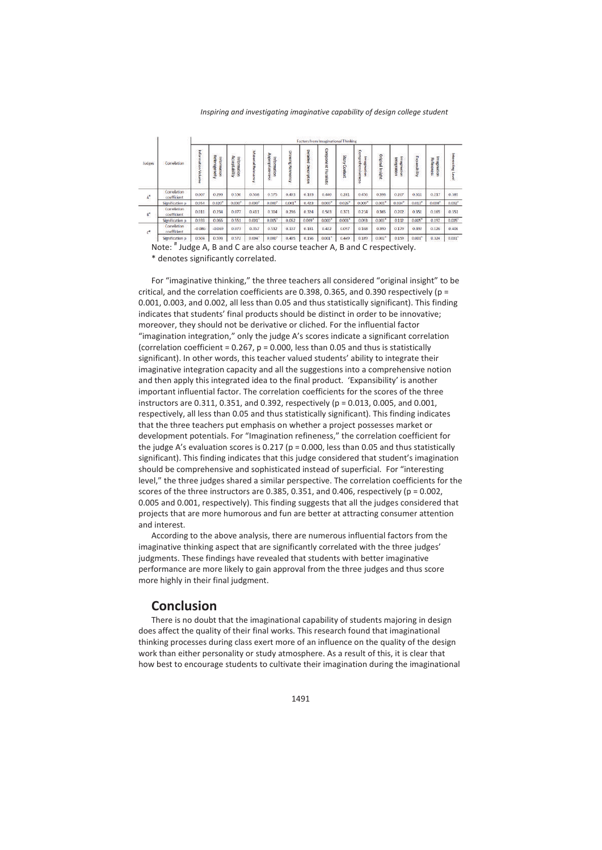#### *Inspiring and investigating imaginative capability of design college student*

| Judges                    | Correlation                       | Factors from Imaginational Thinking |                             |                              |                      |                                  |                          |               |                                      |                         |                             |                      |                                   |               |                           |                      |
|---------------------------|-----------------------------------|-------------------------------------|-----------------------------|------------------------------|----------------------|----------------------------------|--------------------------|---------------|--------------------------------------|-------------------------|-----------------------------|----------------------|-----------------------------------|---------------|---------------------------|----------------------|
|                           |                                   | Information Volume                  | Heterogeneky<br>Information | Acceptability<br>Information | Material Relevancy   | Appropriateness<br>Į.<br>rmation | <b>Drawing Relevancy</b> | Detailed<br>ç | Compo<br>nent Piur<br><b>Missinc</b> | <b>Aucus</b><br>Context | Comprehensiv<br>Imagination | Original Insight     | <b>Imagination</b><br>Integration | Expansibility | Imagination<br>Refineness | Interesting Level    |
| $\mathsf{A}^{\mathsf{e}}$ | Correlation<br>coefficient        | 0.007                               | 0.293                       | 0.530                        | 0.568                | 0.575                            | 0.403                    | 0.103         | 0.440                                | 0.281                   | 0.456                       | 0.398                | 0.267                             | 0.311         | 0.217                     | 0.385                |
|                           | Signification p                   | 0.954                               | $0.020$ <sup>*</sup>        | $0.000*$                     | $0.000*$             | $0.000*$                         | $0.001*$                 | 0.423         | $0.000*$                             | $0.026*$                | $0.000$ <sup>*</sup>        | $0.001$ <sup>*</sup> | $0.034$ <sup>*</sup>              | $0.013*$      | $0.008$ <sup>*</sup>      | $0.002$ <sup>*</sup> |
| B,                        | <b>Correlation</b><br>coefficient | 0.011                               | 0.234                       | 0.077                        | 0.411                | 0.304                            | 0.236                    | 0.324         | 0.503                                | 0.371                   | 0.214                       | 0.365                | 0.202                             | 0351          | 0.165                     | 0.351                |
|                           | Signification p.                  | 0.933                               | 0.065                       | 0.551                        | $0.001$ <sup>*</sup> | 0.015"                           | 0.062                    | 0.009"        | $0.000*$                             | 0.003"                  | 0.093                       | $0.003*$             | 0.112                             | 0.005"        | 0.197                     | 0.005"               |
| c                         | Correlation<br>coefficient        | $-0.086$                            | $-0.069$                    | 0.073                        | 0.357                | 0.532                            | 0.107                    | 0.181         | 0.422                                | 0.097                   | 0.168                       | 0.390                | 0.179                             | 0.392         | 0.126                     | 0.406                |
|                           | Signification of                  | 0.504                               | 0.593                       | 0.572                        | $0.004$ <sup>*</sup> | $0.000$ <sup>*</sup>             | 0.405                    | 0.156         | $0.001$ <sup>*</sup>                 | 0.449                   | 0.189                       | $0.002$ <sup>*</sup> | 0.159                             | 0.001*        | 0.324                     | $0.001$ <sup>*</sup> |

Note: # Judge A, B and C are also course teacher A, B and C respectively. \* denotes significantly correlated.

For "imaginative thinking," the three teachers all considered "original insight" to be critical, and the correlation coefficients are 0.398, 0.365, and 0.390 respectively ( $p =$ 0.001, 0.003, and 0.002, all less than 0.05 and thus statistically significant). This finding indicates that students' final products should be distinct in order to be innovative; moreover, they should not be derivative or cliched. For the influential factor "imagination integration," only the judge A's scores indicate a significant correlation (correlation coefficient =  $0.267$ ,  $p = 0.000$ , less than 0.05 and thus is statistically significant). In other words, this teacher valued students' ability to integrate their imaginative integration capacity and all the suggestions into a comprehensive notion and then apply this integrated idea to the final product. 'Expansibility' is another important influential factor. The correlation coefficients for the scores of the three instructors are  $0.311, 0.351$ , and  $0.392$ , respectively (p =  $0.013, 0.005$ , and  $0.001$ . respectively, all less than 0.05 and thus statistically significant). This finding indicates that the three teachers put emphasis on whether a project possesses market or development potentials. For "Imagination refineness," the correlation coefficient for the judge A's evaluation scores is 0.217 ( $p = 0.000$ , less than 0.05 and thus statistically significant). This finding indicates that this judge considered that student's imagination should be comprehensive and sophisticated instead of superficial. For "interesting level," the three judges shared a similar perspective. The correlation coefficients for the scores of the three instructors are  $0.385, 0.351,$  and  $0.406$ , respectively ( $p = 0.002$ , 0.005 and 0.001, respectively). This finding suggests that all the judges considered that projects that are more humorous and fun are better at attracting consumer attention and interest.

According to the above analysis, there are numerous influential factors from the imaginative thinking aspect that are significantly correlated with the three judges' judgments. These findings have revealed that students with better imaginative performance are more likely to gain approval from the three judges and thus score more highly in their final judgment.

# **Conclusion**

There is no doubt that the imaginational capability of students majoring in design does affect the quality of their final works. This research found that imaginational thinking processes during class exert more of an influence on the quality of the design work than either personality or study atmosphere. As a result of this, it is clear that how best to encourage students to cultivate their imagination during the imaginational